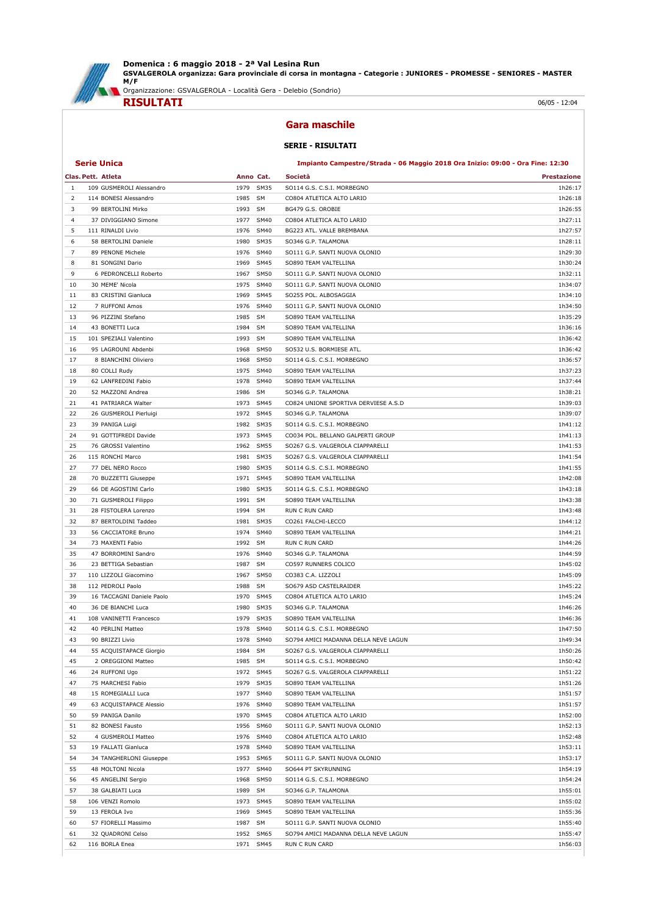

Domenica : 6 maggio 2018 - 2ª Val Lesina Run GSVALGEROLA organizza: Gara provinciale di corsa in montagna - Categorie : JUNIORES - PROMESSE - SENIORES - MASTER M/F

Organizzazione: GSVALGEROLA - Località Gera - Delebio (Sondrio)



Gara maschile

## SERIE - RISULTATI

## Serie Unica Impianto Campestre/Strada - 06 Maggio 2018 Ora Inizio: 09:00 - Ora Fine: 12:30

|                | Clas. Pett. Atleta        |              | Anno Cat.    | Società                              | Prestazione        |
|----------------|---------------------------|--------------|--------------|--------------------------------------|--------------------|
| -1             | 109 GUSMEROLI Alessandro  | 1979         | <b>SM35</b>  | SO114 G.S. C.S.I. MORBEGNO           | 1h26:17            |
| 2              | 114 BONESI Alessandro     | 1985         | <b>SM</b>    | CO804 ATLETICA ALTO LARIO            | 1h26:18            |
| 3              | 99 BERTOLINI Mirko        | 1993         | <b>SM</b>    | BG479 G.S. OROBIE                    | 1h26:55            |
| $\overline{4}$ | 37 DIVIGGIANO Simone      | 1977         | SM40         | CO804 ATLETICA ALTO LARIO            | 1h27:11            |
| 5              | 111 RINALDI Livio         | 1976         | <b>SM40</b>  | BG223 ATL. VALLE BREMBANA            | 1h27:57            |
| 6              | 58 BERTOLINI Daniele      | 1980         | <b>SM35</b>  | SO346 G.P. TALAMONA                  | 1h28:11            |
| 7              | 89 PENONE Michele         | 1976         | SM40         | SO111 G.P. SANTI NUOVA OLONIO        | 1h29:30            |
| 8              | 81 SONGINI Dario          | 1969         | SM45         | SO890 TEAM VALTELLINA                | 1h30:24            |
| 9              | 6 PEDRONCELLI Roberto     | 1967         | <b>SM50</b>  | SO111 G.P. SANTI NUOVA OLONIO        | 1h32:11            |
| 10             | 30 MEME' Nicola           | 1975         | <b>SM40</b>  | SO111 G.P. SANTI NUOVA OLONIO        | 1h34:07            |
| 11             | 83 CRISTINI Gianluca      | 1969         | SM45         | SO255 POL. ALBOSAGGIA                | 1h34:10            |
| 12             | 7 RUFFONI Amos            | 1976         | SM40         | SO111 G.P. SANTI NUOVA OLONIO        | 1h34:50            |
| 13             | 96 PIZZINI Stefano        | 1985         | SM           | SO890 TEAM VALTELLINA                | 1h35:29            |
| 14             | 43 BONETTI Luca           | 1984         | SM           | SO890 TEAM VALTELLINA                | 1h36:16            |
| 15             | 101 SPEZIALI Valentino    | 1993         | <b>SM</b>    | SO890 TEAM VALTELLINA                | 1h36:42            |
| 16             | 95 LAGROUNI Abdenbi       | 1968         | <b>SM50</b>  | SO532 U.S. BORMIESE ATL.             | 1h36:42            |
| 17             | 8 BIANCHINI Oliviero      | 1968         | <b>SM50</b>  | SO114 G.S. C.S.I. MORBEGNO           | 1h36:57            |
| 18             | 80 COLLI Rudy             | 1975         | <b>SM40</b>  | SO890 TEAM VALTELLINA                | 1h37:23            |
| 19             | 62 LANFREDINI Fabio       | 1978         | <b>SM40</b>  | SO890 TEAM VALTELLINA                | 1h37:44            |
| 20             | 52 MAZZONI Andrea         | 1986         | SM           | SO346 G.P. TALAMONA                  | 1h38:21            |
| 21             | 41 PATRIARCA Walter       | 1973         | <b>SM45</b>  | CO824 UNIONE SPORTIVA DERVIESE A.S.D | 1h39:03            |
| 22             | 26 GUSMEROLI Pierluigi    | 1972         | <b>SM45</b>  | SO346 G.P. TALAMONA                  | 1h39:07            |
|                |                           |              |              | SO114 G.S. C.S.I. MORBEGNO           |                    |
| 23<br>24       | 39 PANIGA Luigi           | 1982<br>1973 | SM35<br>SM45 |                                      | 1h41:12<br>1h41:13 |
|                | 91 GOTTIFREDI Davide      |              |              | CO034 POL. BELLANO GALPERTI GROUP    |                    |
| 25             | 76 GROSSI Valentino       | 1962         | <b>SM55</b>  | SO267 G.S. VALGEROLA CIAPPARELLI     | 1h41:53            |
| 26             | 115 RONCHI Marco          | 1981         | <b>SM35</b>  | SO267 G.S. VALGEROLA CIAPPARELLI     | 1h41:54            |
| 27             | 77 DEL NERO Rocco         | 1980         | <b>SM35</b>  | SO114 G.S. C.S.I. MORBEGNO           | 1h41:55            |
| 28             | 70 BUZZETTI Giuseppe      | 1971         | SM45         | SO890 TEAM VALTELLINA                | 1h42:08            |
| 29             | 66 DE AGOSTINI Carlo      | 1980         | <b>SM35</b>  | SO114 G.S. C.S.I. MORBEGNO           | 1h43:18            |
| 30             | 71 GUSMEROLI Filippo      | 1991         | SM           | SO890 TEAM VALTELLINA                | 1h43:38            |
| 31             | 28 FISTOLERA Lorenzo      | 1994         | SM           | RUN C RUN CARD                       | 1h43:48            |
| 32             | 87 BERTOLDINI Taddeo      | 1981         | <b>SM35</b>  | CO261 FALCHI-LECCO                   | 1h44:12            |
| 33             | 56 CACCIATORE Bruno       | 1974         | <b>SM40</b>  | SO890 TEAM VALTELLINA                | 1h44:21            |
| 34             | 73 MAXENTI Fabio          | 1992         | SM           | RUN C RUN CARD                       | 1h44:26            |
| 35             | 47 BORROMINI Sandro       | 1976         | SM40         | SO346 G.P. TALAMONA                  | 1h44:59            |
| 36             | 23 BETTIGA Sebastian      | 1987         | SM           | CO597 RUNNERS COLICO                 | 1h45:02            |
| 37             | 110 LIZZOLI Giacomino     | 1967         | <b>SM50</b>  | CO383 C.A. LIZZOLI                   | 1h45:09            |
| 38             | 112 PEDROLI Paolo         | 1988         | <b>SM</b>    | SO679 ASD CASTELRAIDER               | 1h45:22            |
| 39             | 16 TACCAGNI Daniele Paolo | 1970         | SM45         | CO804 ATLETICA ALTO LARIO            | 1h45:24            |
| 40             | 36 DE BIANCHI Luca        | 1980         | SM35         | SO346 G.P. TALAMONA                  | 1h46:26            |
| 41             | 108 VANINETTI Francesco   | 1979         | SM35         | SO890 TEAM VALTELLINA                | 1h46:36            |
| 42             | 40 PERLINI Matteo         | 1978         | <b>SM40</b>  | SO114 G.S. C.S.I. MORBEGNO           | 1h47:50            |
| 43             | 90 BRIZZI Livio           | 1978         | <b>SM40</b>  | SO794 AMICI MADANNA DELLA NEVE LAGUN | 1h49:34            |
| 44             | 55 ACQUISTAPACE Giorgio   | 1984         | <b>SM</b>    | SO267 G.S. VALGEROLA CIAPPARELLI     | 1h50:26            |
| 45             | 2 OREGGIONI Matteo        | 1985 SM      |              | SO114 G.S. C.S.I. MORBEGNO           | 1h50:42            |
| 46             | 24 RUFFONI Ugo            |              | 1972 SM45    | SO267 G.S. VALGEROLA CIAPPARELLI     | 1h51:22            |
| 47             | 75 MARCHESI Fabio         | 1979         | SM35         | SO890 TEAM VALTELLINA                | 1h51:26            |
| 48             | 15 ROMEGIALLI Luca        | 1977         | <b>SM40</b>  | SO890 TEAM VALTELLINA                | 1h51:57            |
| 49             | 63 ACQUISTAPACE Alessio   | 1976         | <b>SM40</b>  | SO890 TEAM VALTELLINA                | 1h51:57            |
| 50             | 59 PANIGA Danilo          | 1970         | SM45         | CO804 ATLETICA ALTO LARIO            | 1h52:00            |
| 51             | 82 BONESI Fausto          | 1956         | <b>SM60</b>  | SO111 G.P. SANTI NUOVA OLONIO        | 1h52:13            |
| 52             | 4 GUSMEROLI Matteo        | 1976         | SM40         | CO804 ATLETICA ALTO LARIO            | 1h52:48            |
| 53             | 19 FALLATI Gianluca       | 1978         | <b>SM40</b>  | SO890 TEAM VALTELLINA                | 1h53:11            |
| 54             | 34 TANGHERLONI Giuseppe   | 1953         | SM65         | SO111 G.P. SANTI NUOVA OLONIO        | 1h53:17            |
| 55             | 48 MOLTONI Nicola         | 1977         | <b>SM40</b>  | SO644 PT SKYRUNNING                  | 1h54:19            |
| 56             | 45 ANGELINI Sergio        | 1968         | <b>SM50</b>  | SO114 G.S. C.S.I. MORBEGNO           | 1h54:24            |
| 57             | 38 GALBIATI Luca          | 1989         | SM           | SO346 G.P. TALAMONA                  | 1h55:01            |
| 58             | 106 VENZI Romolo          | 1973         | <b>SM45</b>  | SO890 TEAM VALTELLINA                | 1h55:02            |
| 59             | 13 FEROLA Ivo             | 1969         | <b>SM45</b>  | SO890 TEAM VALTELLINA                | 1h55:36            |
| 60             | 57 FIORELLI Massimo       | 1987         | SM           | SO111 G.P. SANTI NUOVA OLONIO        | 1h55:40            |
| 61             | 32 QUADRONI Celso         | 1952         | <b>SM65</b>  | SO794 AMICI MADANNA DELLA NEVE LAGUN | 1h55:47            |
| 62             | 116 BORLA Enea            | 1971         | SM45         | RUN C RUN CARD                       | 1h56:03            |